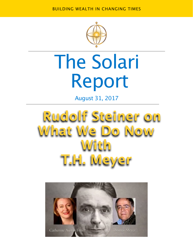BUILDING WEALTH IN CHANGING TIMES



# The Solari Report

August 31, 2017

## **Rudolf Steiner on What We Do Now With T.H. Meyer**

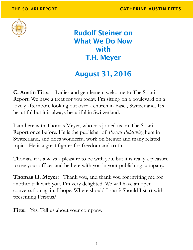

**Rudolf Steiner on What We Do Now with T.H. Meyer** 

### **August 31, 2016**

**C. Austin Fitts:** Ladies and gentlemen, welcome to The Solari Report. We have a treat for you today. I'm sitting on a boulevard on a lovely afternoon, looking out over a church in Basel, Switzerland. It's beautiful but it is always beautiful in Switzerland.

I am here with Thomas Meyer, who has joined us on The Solari Report once before. He is the publisher of *Perseus Publishing* here in Switzerland, and does wonderful work on Steiner and many related topics. He is a great fighter for freedom and truth.

Thomas, it is always a pleasure to be with you, but it is really a pleasure to see your offices and be here with you in your publishing company.

**Thomas H. Meyer:** Thank you, and thank you for inviting me for another talk with you. I'm very delighted. We will have an open conversation again, I hope. Where should I start? Should I start with presenting Perseus?

**Fitts:** Yes. Tell us about your company.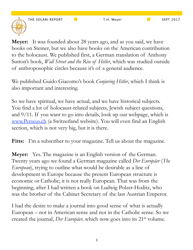

**Meyer:** It was founded about 28 years ago, and as you said, we have books on Steiner, but we also have books on the American contribution to the holocaust. We published first, a German translation of Anthony Sutton's book, *Wall Street and the Rise of Hitler*, which was studied outside of anthroposophic circles because it's of a general audience.

We published Guido Giacomo's book *Conjuring Hitler*, which I think is also important and interesting.

So we have spiritual, we have actual, and we have historical subjects. You find a lot of holocaust-related subjects, Jewish subject questions, and 9/11. If you want to go into details, look up our webpage, which is www.Perseus.ch (a Switzerland website). You will even find an English section, which is not very big, but it is there.

Fitts: I'm a subscriber to your magazine. Tell us about the magazine.

**Meyer:** Yes. The magazine is an English version of the German. Twenty years ago we found a German magazine called *Der Europäer* (*The European*), trying to outline what would be desirable as a line of development in Europe because the present European structure is economic or Catholic; it is not really European. That was from the beginning, after I had written a book on Ludwig Polzer-Hoditz, who was the brother of the Cabinet Secretary of the last Austrian Emperor.

I had the desire to make a journal into good sense of what is actually European – not in American sense and not in the Catholic sense. So we created the journal, *Der Europäer,* which now goes into its 21st volume.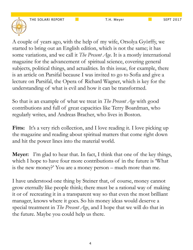

A couple of years ago, with the help of my wife, Orsolya Györffy, we started to bring out an English edition, which is not the same; it has some variations, and we call it *The Present Age*. It is a mostly international magazine for the advancement of spiritual science, covering general subjects, political things, and actualities. In this issue, for example, there is an article on Parsifal because I was invited to go to Sofia and give a lecture on Parsifal, the Opera of Richard Wagner, which is key for the understanding of what is evil and how it can be transformed.

So that is an example of what we treat in *The Present Age* with good contributions and full of great capacities like Terry Boardman, who regularly writes, and Andreas Bracher, who lives in Boston.

Fitts: It's a very rich collection, and I love reading it. I love picking up the magazine and reading about spiritual matters that come right down and hit the power lines into the material world.

**Meyer:** I'm glad to hear that. In fact, I think that one of the key things, which I hope to have four more contributions of in the future is 'What is the new money?' You are a money person – much more than me.

I have understood one thing by Steiner that, of course, money cannot grow eternally like people think; there must be a rational way of making it or of recreating it in a transparent way so that even the most brilliant manager, knows where it goes. So his money ideas would deserve a special treatment in *The Present Age*, and I hope that we will do that in the future. Maybe you could help us there.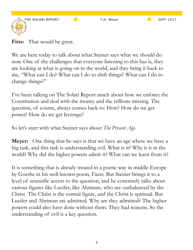

**Fitts:** That would be great.

We are here today to talk about what Steiner says what we should do now. One of the challenges that everyone listening to this has is, they are looking at what is going on in the world, and they bring it back to me, "What can I do? What can I do to shift things? What can I do to change things?"

I've been talking on The Solari Report much about how we enforce the Constitution and deal with the money and the trillions missing. The question, of course, always comes back to: How? How do we get power? How do we get leverage?

So let's start with what Steiner says about *The Present Age*.

**Meyer:** One thing that he says is that we have an age where we have a big task, and this task is understanding evil. What is it? Why is it in the world? Why did the higher powers admit it? What can we learn from it?

It is something that is already treated in a poetic way in middle Europe by Goethe in his well-known poem, Faust. But Steiner brings it to a level of scientific access to the question, and he concretely talks about various figures like Lucifer, like Ahriman, who are outbalanced by the Christ. The Christ is the central figure, and the Christ is spiritual. But Lucifer and Ahriman are admitted. Why are they admitted? The higher powers could also have done without them. They had reasons. So the understanding of evil is a key question.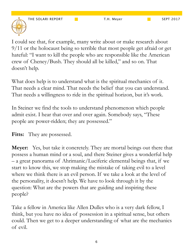

I could see that, for example, many write about or make research about 9/11 or the holocaust being so terrible that most people get afraid or get hateful: "I want to kill the people who are responsible like the American crew of Cheney/Bush. They should all be killed," and so on. That doesn't help.

What does help is to understand what is the spiritual mechanics of it. That needs a clear mind. That needs the belief that you can understand. That needs a willingness to ride in the spiritual horizon, but it's work.

In Steiner we find the tools to understand phenomenon which people admit exist. I hear that over and over again. Somebody says, "These people are power-ridden; they are possessed."

Fitts: They are possessed.

**Meyer:** Yes, but take it concretely. They are mortal beings out there that possess a human mind or a soul, and there Steiner gives a wonderful help – a great panorama of Ahrimanic/Luciferic elemental beings that, if we start to know this, we stop making the mistake of taking evil to a level where we think there is an evil person. If we take a look at the level of the personality, it doesn't help. We have to look through it by the question: What are the powers that are guiding and inspiring these people?

Take a fellow in America like Allen Dulles who is a very dark fellow, I think, but you have no idea of possession in a spiritual sense, but others could. Then we get to a deeper understanding of what are the mechanics of evil.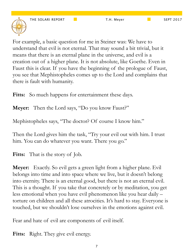

For example, a basic question for me in Steiner was: We have to understand that evil is not eternal. That may sound a bit trivial, but it means that there is an eternal plane in the universe, and evil is a creation out of a higher plane. It is not absolute, like Goethe. Even in Faust this is clear. If you have the beginning of the prologue of Faust, you see that Mephistopheles comes up to the Lord and complains that there is fault with humanity.

Fitts: So much happens for entertainment these days.

**Meyer:** Then the Lord says, "Do you know Faust?"

Mephistopheles says, "The doctor? Of course I know him."

Then the Lord gives him the task, "Try your evil out with him. I trust him. You can do whatever you want. There you go."

Fitts: That is the story of Job.

**Meyer:** Exactly. So evil gets a green light from a higher plane. Evil belongs into time and into space where we live, but it doesn't belong into eternity. There is an eternal good, but there is not an eternal evil. This is a thought. If you take that concretely or by meditation, you get less emotional when you have evil phenomenon like you hear daily – torture on children and all these atrocities. It's hard to stay. Everyone is touched, but we shouldn't lose ourselves in the emotions against evil.

Fear and hate of evil are components of evil itself.

Fitts: Right. They give evil energy.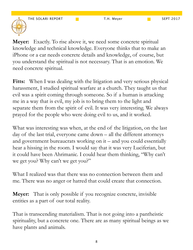

**Meyer:** Exactly. To rise above it, we need some concrete spiritual knowledge and technical knowledge. Everyone thinks that to make an iPhone or a car needs concrete details and knowledge, of course, but you understand the spiritual is not necessary. That is an emotion. We need concrete spiritual.

Fitts: When I was dealing with the litigation and very serious physical harassment, I studied spiritual warfare at a church. They taught us that evil was a spirit coming through someone. So if a human is attacking me in a way that is evil, my job is to bring them to the light and separate them from the spirit of evil. It was very interesting. We always prayed for the people who were doing evil to us, and it worked.

What was interesting was when, at the end of the litigation, on the last day of the last trial, everyone came down – all the different attorneys and government bureaucrats working on it – and you could essentially hear a hissing in the room. I would say that it was very Luciferian, but it could have been Ahrimanic. I could hear them thinking, "Why can't we get you? Why can't we get you?"

What I realized was that there was no connection between them and me. There was no anger or hatred that could create that connection.

**Meyer:** That is only possible if you recognize concrete, invisible entities as a part of our total reality.

That is transcending materialism. That is not going into a pantheistic spirituality, but a concrete one. There are as many spiritual beings as we have plants and animals.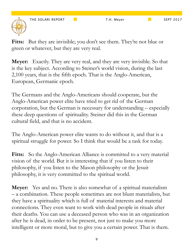

Fitts: But they are invisible; you don't see them. They're not blue or green or whatever, but they are very real.

**Meyer:** Exactly. They are very real, and they are very invisible. So that is the key subject. According to Steiner's world vision, during the last 2,100 years, that is the fifth epoch. That is the Anglo-American, European, Germanic epoch.

The Germans and the Anglo-Americans should cooperate, but the Anglo-American power elite have tried to get rid of the German corporation, but the German is necessary for understanding – especially these deep questions of spirituality. Steiner did this in the German cultural field, and that is no accident.

The Anglo-American power elite wants to do without it, and that is a spiritual struggle for power. So I think that would be a task for today.

Fitts: So the Anglo-American Alliance is committed to a very material vision of the world. But it is interesting that if you listen to their philosophy, if you listen to the Mason philosophy or the Jesuit philosophy, it is very committed to the spiritual world.

**Meyer:** Yes and no. There is also somewhat of a spiritual materialism – a combination. These people sometimes are not blunt materialists, but they have a spirituality which is full of material interests and material connections. They even want to work with dead people in rituals after their deaths. You can use a deceased person who was in an organization after he is dead, in order to be present, not just to make you more intelligent or more moral, but to give you a certain power. That is them.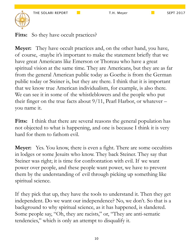

**Meyer:** They have occult practices and, on the other hand, you have, of course, -maybe it's important to make the statement briefly that we have great Americans like Emerson or Thoreau who have a great spiritual vision at the same time. They are Americans, but they are as far from the general American public today as Goethe is from the German public today or Steiner is, but they are there. I think that it is important that we know true American individualism, for example, is also there. We can see it in some of the whistleblowers and the people who put their finger on the true facts about  $9/11$ , Pearl Harbor, or whatever – you name it.

**Fitts:** I think that there are several reasons the general population has not objected to what is happening, and one is because I think it is very hard for them to fathom evil.

**Meyer:** Yes. You know, there is even a fight. There are some occultists in lodges or some Jesuits who know. They back Steiner. They say that Steiner was right; it is time for confrontation with evil. If we want power over people, and these people want power, we have to prevent them by the understanding of evil through picking up something like spiritual science.

If they pick that up, they have the tools to understand it. Then they get independent. Do we want our independence? No, we don't. So that is a background to why spiritual science, as it has happened, is slandered. Some people say, "Oh, they are racists," or, "They are anti-sematic tendencies," which is only an attempt to disqualify it.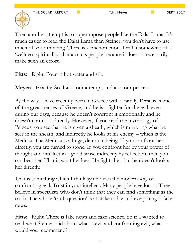

Then another attempt is to superimpose people like the Dalai Lama. It's much easier to read the Dalai Lama than Steiner; you don't have to use much of your thinking. There is a phenomenon. I call it somewhat of a 'wellness spirituality' that attracts people because it doesn't necessarily make such an effort.

**Fitts:** Right. Pour in hot water and stir.

**Meyer:** Exactly. So that is our attempt, and also our process.

By the way, I have recently been in Greece with a family. Perseus is one of the great heroes of Greece, and he is a fighter for the evil, even during our days, because he doesn't confront it emotionally and he doesn't control it directly. However, if you read the mythology of Perseus, you see that he is given a sheath, which is mirroring what he sees in the sheath, and indirectly he looks at his enemy – which is the Medusa. The Medusa is a huge, demonic being. If you confront her directly, you are turned to stone. If you confront her by your power of thought and intellect in a good sense indirectly by reflection, then you can beat her. That is what he does. He fights her, but he doesn't look at her directly.

That is something which I think symbolizes the modern way of confronting evil. Trust in your intellect. Many people have lost it. They believe in specialists who don't think that they can find something as the truth. The whole 'truth question' is at stake today and everything is fake news.

**Fitts:** Right. There is fake news and fake science. So if I wanted to read what Steiner said about what is evil and confronting evil, what would you recommend?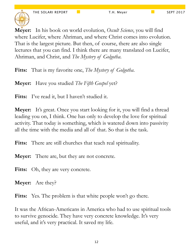

**Meyer:** In his book on world evolution, *Occult Science*, you will find where Lucifer, where Ahriman, and where Christ comes into evolution. That is the largest picture. But then, of course, there are also single lectures that you can find. I think there are many translated on Lucifer, Ahriman, and Christ, and *The Mystery of Golgotha*.

**Fitts:** That is my favorite one, *The Mystery of Golgotha*.

**Meyer:** Have you studied *The Fifth Gospel* yet?

Fitts: I've read it, but I haven't studied it.

**Meyer:** It's great. Once you start looking for it, you will find a thread leading you on, I think. One has only to develop the love for spiritual activity. That today is something, which is watered down into passivity all the time with the media and all of that. So that is the task.

**Fitts:** There are still churches that teach real spirituality.

**Meyer:** There are, but they are not concrete.

Fitts: Oh, they are very concrete.

**Meyer:** Are they?

**Fitts:** Yes. The problem is that white people won't go there.

It was the African-Americans in America who had to use spiritual tools to survive genocide. They have very concrete knowledge. It's very useful, and it's very practical. It saved my life.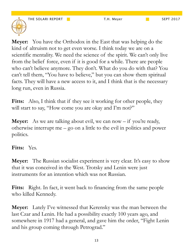

**Meyer:** You have the Orthodox in the East that was helping do the kind of altruism not to get even worse. I think today we are on a scientific mentality. We need the science of the spirit. We can't only live from the belief force, even if it is good for a while. There are people who can't believe anymore. They don't. What do you do with that? You can't tell them, "You have to believe," but you can show them spiritual facts. They will have a new access to it, and I think that is the necessary long run, even in Russia.

Fitts: Also, I think that if they see it working for other people, they will start to say, "How come you are okay and I'm not?"

**Meyer:** As we are talking about evil, we can now – if you're ready, otherwise interrupt me – go on a little to the evil in politics and power politics.

#### **Fitts:** Yes.

**Meyer:** The Russian socialist experiment is very clear. It's easy to show that it was conceived in the West. Trotsky and Lenin were just instruments for an intention which was not Russian.

**Fitts:** Right. In fact, it went back to financing from the same people who killed Kennedy.

**Meyer:** Lately I've witnessed that Kerensky was the man between the last Czar and Lenin. He had a possibility exactly 100 years ago, and somewhere in 1917 had a general, and gave him the order, "Fight Lenin and his group coming through Petrograd."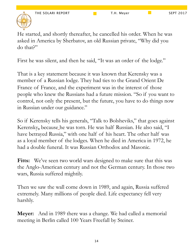

He started, and shortly thereafter, he cancelled his order. When he was asked in America by Sherbatov, an old Russian private, "Why did you do that?"

First he was silent, and then he said, "It was an order of the lodge."

That is a key statement because it was known that Kerensky was a member of a Russian lodge. They had ties to the Grand Orient De France of France, and the experiment was in the interest of those people who knew the Russians had a future mission. "So if you want to control, not only the present, but the future, you have to do things now in Russian under our guidance."

So if Kerensky tells his generals, "Talk to Bolsheviks," that goes against Kerensky**,** because he was torn. He was half Russian. He also said, "I have betrayed Russia," with one half of his heart. The other half was as a loyal member of the lodges. When he died in America in 1972, he had a double funeral. It was Russian Orthodox and Masonic.

Fitts: We've seen two world wars designed to make sure that this was the Anglo-American century and not the German century. In those two wars, Russia suffered mightily.

Then we saw the wall come down in 1989, and again, Russia suffered extremely. Many millions of people died. Life expectancy fell very harshly.

**Meyer:** And in 1989 there was a change. We had called a memorial meeting in Berlin called 100 Years Freefall by Steiner.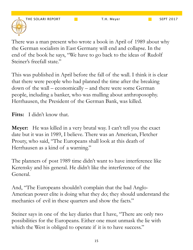There was a man present who wrote a book in April of 1989 about why the German socialists in East Germany will end and collapse. In the end of the book he says, "We have to go back to the ideas of Rudolf Steiner's freefall state."

This was published in April before the fall of the wall. I think it is clear that there were people who had planned the time after the breaking down of the wall – economically – and there were some German people, including a banker, who was mulling about anthroposophy. Herrhausen, the President of the German Bank, was killed.

**Fitts:** I didn't know that.

**Meyer:** He was killed in a very brutal way. I can't tell you the exact date but it was in 1989, I believe. There was an American, Fletcher Prouty, who said, "The Europeans shall look at this death of Herrhausen as a kind of a warning."

The planners of post 1989 time didn't want to have interference like Kerensky and his general. He didn't like the interference of the General.

And, "The Europeans shouldn't complain that the bad Anglo-American power elite is doing what they do; they should understand the mechanics of evil in these quarters and show the facts."

Steiner says in one of the key diaries that I have, "There are only two possibilities for the Europeans. Either one must unmask the lie with which the West is obliged to operate if it is to have success."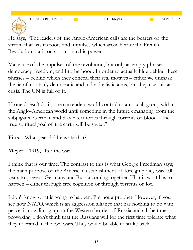He says, "The leaders of the Anglo-American calls are the bearers of the stream that has its roots and impulses which arose before the French Revolution – aristocratic monarchic power.

Make use of the impulses of the revolution, but only as empty phrases; democracy, freedom, and brotherhood. In order to actually hide behind these phrases – behind which they conceal their real motives – either we unmask the lie of not truly democratic and individualistic aims, but they use this as crisis. The UN is full of it.

If one doesn't do it, one surrenders world control to an occult group within the Anglo-American world until sometime in the future emanating from the subjugated German and Slavic territories through torrents of blood – the true spiritual goal of the earth will be saved."

Fitts: What year did he write that?

**Meyer:** 1919, after the war.

I think that is our time. The contrast to this is what George Freedman says; the main purpose of the American establishment of foreign policy was 100 years to prevent Germany and Russia coming together. That is what has to happen – either through free cognition or through torrents of lot.

I don't know what is going to happen; I'm not a prophet. However, if you see how NATO, which is an aggression alliance that has nothing to do with peace, is now lining up on the Western border of Russia and all the time provoking. I don't think that the Russians will for the first time tolerate what they tolerated in the two wars. They would be able to strike back.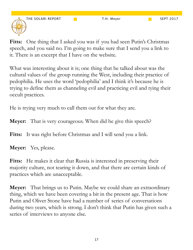**Fitts:** One thing that I asked you was if you had seen Putin's Christmas speech, and you said no. I'm going to make sure that I send you a link to it. There is an excerpt that I have on the website.

What was interesting about it is; one thing that he talked about was the cultural values of the group running the West, including their practice of pedophilia. He uses the word 'pedophilia' and I think it's because he is trying to define them as channeling evil and practicing evil and tying their occult practices.

He is trying very much to call them out for what they are.

**Meyer:** That is very courageous. When did he give this speech?

Fitts: It was right before Christmas and I will send you a link.

**Meyer:** Yes, please.

Fitts: He makes it clear that Russia is interested in preserving their majority culture, not tearing it down, and that there are certain kinds of practices which are unacceptable.

**Meyer:** That brings us to Putin. Maybe we could share an extraordinary thing, which we have been covering a bit in the present age. That is how Putin and Oliver Stone have had a number of series of conversations during two years, which is strong. I don't think that Putin has given such a series of interviews to anyone else.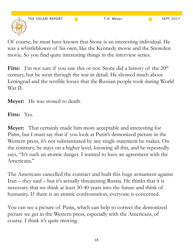Of course, he must have known that Stone is an interesting individual. He was a whistleblower of his own, like the Kennedy movie and the Snowden movie. So you find quite interesting things in the interview series.

Fitts: I'm not sure if you saw this or not. Stone did a history of the 20<sup>th</sup> century, but he went through the war in detail. He showed much about Leningrad and the terrible losses that the Russian people took during World War II.

**Meyer:** He was stoned to death.

**Fitts:** Yes.

**Meyer:** That certainly made him more acceptable and interesting for Putin, but I must say that if you look at Putin's demonized picture in the Western press, it's not substantiated by any single statement he makes. On the contrary, he stays on a higher level, knowing all this, and he repeatedly says, "It's such an atomic danger. I wanted to have an agreement with the Americans."

The Americans cancelled the contract and built this huge armament against Iran – they said – but it's actually threatening Russia. He thinks that it is necessary that we think at least 30-40 years into the future and think of humanity. If there is an atomic confrontation, everyone is concerned.

You can see a picture of Putin, which can help to correct the demonized picture we get in the Western press, especially with the Americans, of course. I think it's quite moving.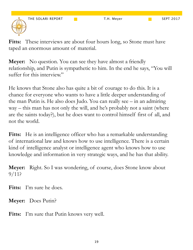Fitts: These interviews are about four hours long, so Stone must have taped an enormous amount of material.

**Meyer:** No question. You can see they have almost a friendly relationship, and Putin is sympathetic to him. In the end he says, "You will suffer for this interview."

He knows that Stone also has quite a bit of courage to do this. It is a chance for everyone who wants to have a little deeper understanding of the man Putin is. He also does Judo. You can really see – in an admiring way – this man has not only the will, and he's probably not a saint (where are the saints today?), but he does want to control himself first of all, and not the world.

Fitts: He is an intelligence officer who has a remarkable understanding of international law and knows how to use intelligence. There is a certain kind of intelligence analyst or intelligence agent who knows how to use knowledge and information in very strategic ways, and he has that ability.

**Meyer:** Right. So I was wondering, of course, does Stone know about 9/11?

**Fitts:** I'm sure he does.

**Meyer:** Does Putin?

**Fitts:** I'm sure that Putin knows very well.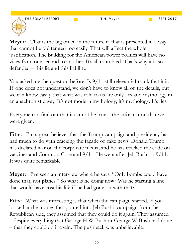

**Meyer:** That is the big omen in the future if that is presented in a way that cannot be obliterated too easily. That will affect the whole justification. The building for the American power politics will have no vices from one second to another. It's all crumbled. That's why it is so defended – this lie and this liability.

You asked me the question before: Is  $9/11$  still relevant? I think that it is. If one does not understand, we don't have to know all of the details, but we can know easily that what was told to us are only lies and mythology in an anachronistic way. It's not modern mythology; it's mythology. It's lies.

Everyone can find out that it cannot be true – the information that we were given.

Fitts: I'm a great believer that the Trump campaign and presidency has had much to do with cracking the façade of fake news. Donald Trump has declared war on the corporate media, and he has cracked the code on vaccines and Common Core and 9/11. He went after Jeb Bush on 9/11. It was quite remarkable.

**Meyer:** I've seen an interview where he says, "Only bombs could have done that, not planes." So what is he doing now? Was he starting a line that would have cost his life if he had gone on with that?

Fitts: What was interesting is that when the campaign started, if you looked at the money that poured into Jeb Bush's campaign from the Republican side, they assumed that they could do it again. They assumed – despite everything that George H.W. Bush or George W. Bush had done – that they could do it again. The pushback was unbelievable.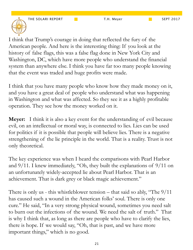I think that Trump's courage in doing that reflected the fury of the American people. And here is the interesting thing: If you look at the history of false flags, this was a false flag done in New York City and Washington, DC, which have more people who understand the financial system than anywhere else. I think you have far too many people knowing that the event was traded and huge profits were made.

I think that you have many people who know how they made money on it, and you have a great deal of people who understand what was happening in Washington and what was affected. So they see it as a highly profitable operation. They see how the money worked on it.

**Meyer:** I think it is also a key event for the understanding of evil because evil, on an intellectual or moral way, is connected to lies. Lies can be used for politics if it is possible that people will believe lies. There is a negative strengthening of the lie principle in the world. That is a reality. Trust is not only theoretical.

The key experience was when I heard the comparisons with Pearl Harbor and 9/11. I knew immediately, "Oh, they built the explanations of 9/11 on an unfortunately widely-accepted lie about Pearl Harbor. That is an achievement. That is dark grey or black magic achievement."

There is only us - this whistleblower tension – that said so ably, "The 9/11 has caused such a wound in the American folks' soul. There is only one cure." He said, "In a very strong physical wound, sometimes you need salt to burn out the infections of the wound. We need the salt of truth." That is why I think that, as long as there are people who have to clarify the lies, there is hope. If we would say, "Oh, that is past, and we have more important things," which is no good.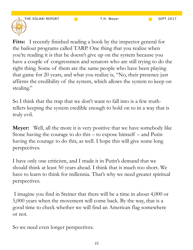

**Fitts:** I recently finished reading a book by the inspector general for the bailout programs called TARP. One thing that you realize when you're reading it is that he doesn't give up on the system because you have a couple of congressmen and senators who are still trying to do the right thing. Some of them are the same people who have been playing that game for 20 years, and what you realize is, "No, their presence just affirms the credibility of the system, which allows the system to keep on stealing."

So I think that the trap that we don't want to fall into is a few truthtellers keeping the system credible enough to hold on to in a way that is truly evil.

**Meyer:** Well, all the more it is very positive that we have somebody like Stone having the courage to do this – to expose himself – and Putin having the courage to do this, as well. I hope this will give some long perspectives.

I have only one criticism, and I made it in Putin's demand that we should think at least 50 years ahead. I think that is much too short. We have to learn to think for millennia. That's why we need greater spiritual perspectives.

 I imagine you find in Steiner that there will be a time in about 4,000 or 5,000 years when the movement will come back. By the way, that is a good time to check whether we will find an American flag somewhere or not.

So we need even longer perspectives.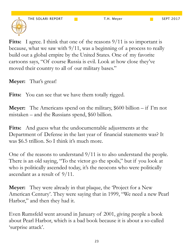THE SOLARI REPORT T.H. Meyer SEPT 2017

Fitts: I agree. I think that one of the reasons  $9/11$  is so important is because, what we saw with 9/11, was a beginning of a process to really build out a global empire by the United States. One of my favorite cartoons says, "Of course Russia is evil. Look at how close they've moved their country to all of our military bases."

**Meyer:** That's great!

Fitts: You can see that we have them totally rigged.

**Meyer:** The Americans spend on the military, \$600 billion – if I'm not mistaken – and the Russians spend, \$60 billion.

**Fitts:** And guess what the undocumentable adjustments at the Department of Defense in the last year of financial statements was? It was \$6.5 trillion. So I think it's much more.

One of the reasons to understand 9/11 is to also understand the people. There is an old saying, "To the victor go the spoils," but if you look at who is politically ascended today, it's the neocons who were politically ascendant as a result of 9/11.

**Meyer:** They were already in that plaque, the 'Project for a New American Century'. They were saying that in 1999, "We need a new Pearl Harbor," and then they had it.

Even Rumsfeld went around in January of 2001, giving people a book about Pearl Harbor, which is a bad book because it is about a so-called 'surprise attack'.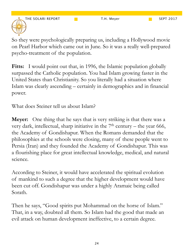THE SOLARI REPORT T.H. Meyer The SEPT 2017



So they were psychologically preparing us, including a Hollywood movie on Pearl Harbor which came out in June. So it was a really well-prepared psycho-treatment of the population.

Fitts: I would point out that, in 1996, the Islamic population globally surpassed the Catholic population. You had Islam growing faster in the United States than Christianity. So you literally had a situation where Islam was clearly ascending – certainly in demographics and in financial power.

What does Steiner tell us about Islam?

**Meyer:** One thing that he says that is very striking is that there was a very dark, intellectual, sharp initiative in the  $7<sup>th</sup>$  century – the year 666, the Academy of Gondishapur. When the Romans demanded that the philosophies at the schools were closing, many of these people went to Persia (Iran) and they founded the Academy of Gondishapur. This was a flourishing place for great intellectual knowledge, medical, and natural science.

According to Steiner, it would have accelerated the spiritual evolution of mankind to such a degree that the higher development would have been cut off. Gondishapur was under a highly Aramaic being called Sorath.

Then he says, "Good spirits put Mohammad on the horse of Islam." That, in a way, doubted all them. So Islam had the good that made an evil attack on human development ineffective, to a certain degree.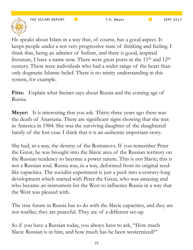He speaks about Islam in a way that, of course, has a good aspect. It keeps people under a not very progressive state of thinking and feeling. I think that, being an admirer of Sufism, and there is good, inspired literature, I have a name now. There were great poets in the 11<sup>th</sup> and 12<sup>th</sup> century. These were individuals who had a wider range of the heart than only dogmatic Islamic belief. There is no trinity understanding in this system, for example.

**Fitts:** Explain what Steiner says about Russia and the coming age of Russia.

**Meyer:** It is interesting that you ask. Thirty-three years ago there was the death of Anastasia. There are significant signs showing that she was in America in 1984. She was the surviving daughter of the slaughtered family of the lost czar. I think that it is an authentic important story.

She had, in a way, the destiny of the Romanovs. If you remember Peter the Great, he was brought into the Slavic area of the Russian territory on the Russian tendency to become a power nature. This is not Slavic; this is not a Russian soul. Russia was, in a way, deformed from its original seedlike capacities. The socialist experiment is just a peek into a century-long development which started with Peter the Great, who was amazing and who became an instrument for the West to influence Russia in a way that the West was pleased with.

The true future in Russia has to do with the Slavic capacities, and they are not warlike; they are peaceful. They are of a different set-up.

So if you have a Russian today, you always have to ask, "How much Slavic Russian is in him, and how much has he been westernized?"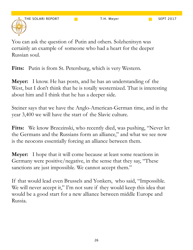You can ask the question of Putin and others. Solzhenitsyn was certainly an example of someone who had a heart for the deeper Russian soul.

Fitts: Putin is from St. Petersburg, which is very Western.

**Meyer:** I know. He has posts, and he has an understanding of the West, but I don't think that he is totally westernized. That is interesting about him and I think that he has a deeper side.

Steiner says that we have the Anglo-American-German time, and in the year 3,400 we will have the start of the Slavic culture.

**Fitts:** We know Brzezinski, who recently died, was pushing, "Never let the Germans and the Russians form an alliance," and what we see now is the neocons essentially forcing an alliance between them.

**Meyer:** I hope that it will come because at least some reactions in Germany were positive/negative, in the sense that they say, "These sanctions are just impossible. We cannot accept them."

If that would lead even Brussels and Yonkers, who said, "Impossible. We will never accept it," I'm not sure if they would keep this idea that would be a good start for a new alliance between middle Europe and Russia.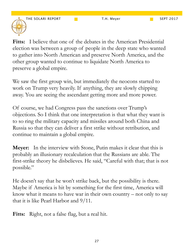

**Fitts:** I believe that one of the debates in the American Presidential election was between a group of people in the deep state who wanted to gather into North American and preserve North America, and the other group wanted to continue to liquidate North America to preserve a global empire.

We saw the first group win, but immediately the neocons started to work on Trump very heavily. If anything, they are slowly chipping away. You are seeing the ascendant getting more and more power.

Of course, we had Congress pass the sanctions over Trump's objections. So I think that one interpretation is that what they want is to so ring the military capacity and missiles around both China and Russia so that they can deliver a first strike without retribution, and continue to maintain a global empire.

**Meyer:** In the interview with Stone, Putin makes it clear that this is probably an illusionary recalculation that the Russians are able. The first-strike theory he disbelieves. He said, "Careful with that; that is not possible."

He doesn't say that he won't strike back, but the possibility is there. Maybe if America is hit by something for the first time, America will know what it means to have war in their own country – not only to say that it is like Pearl Harbor and 9/11.

**Fitts:** Right, not a false flag, but a real hit.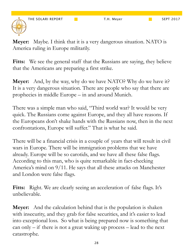**Meyer:** Maybe. I think that it is a very dangerous situation. NATO is America ruling in Europe militarily.

Fitts: We see the general staff that the Russians are saying, they believe that the Americans are preparing a first strike.

**Meyer:** And, by the way, why do we have NATO? Why do we have it? It is a very dangerous situation. There are people who say that there are prophecies in middle Europe – in and around Munich.

There was a simple man who said, "Third world war? It would be very quick. The Russians come against Europe, and they all have reasons. If the Europeans don't shake hands with the Russians now, then in the next confrontations, Europe will suffer." That is what he said.

There will be a financial crisis in a couple of years that will result in civil wars in Europe. There will be immigration problems that we have already. Europe will be so carotids, and we have all these false flags. According to this man, who is quite remarkable in fact-checking America's mind on 9/11. He says that all these attacks on Manchester and London were false flags.

Fitts: Right. We are clearly seeing an acceleration of false flags. It's unbelievable.

**Meyer:** And the calculation behind that is the population is shaken with insecurity, and they grab for false securities, and it's easier to lead into exceptional loss. So what is being prepared now is something that can only – if there is not a great waking up process – lead to the next catastrophe.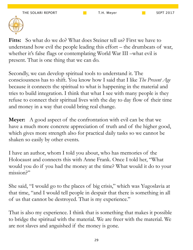

**Fitts:** So what do we do? What does Steiner tell us? First we have to understand how evil the people leading this effort – the drumbeats of war, whether it's false flags or contemplating World War III –what evil is present. That is one thing that we can do.

Secondly, we can develop spiritual tools to understand it. The consciousness has to shift. You know how I said that I like *The Present Age* because it connects the spiritual to what is happening in the material and tries to build integration. I think that what I see with many people is they refuse to connect their spiritual lives with the day to day flow of their time and money in a way that could bring real change.

**Meyer:** A good aspect of the confrontation with evil can be that we have a much more concrete appreciation of truth and of the higher good, which gives more strength also for practical daily tasks so we cannot be shaken so easily by other events.

I have an author, whom I told you about, who has memories of the Holocaust and connects this with Anne Frank. Once I told her, "What would you do if you had the money at the time? What would it do to your mission?"

She said, "I would go to the places of big crisis," which was Yugoslavia at that time, "and I would tell people in despair that there is something in all of us that cannot be destroyed. That is my experience."

That is also my experience. I think that is something that makes it possible to bridge the spiritual with the material. We are freer with the material. We are not slaves and anguished if the money is gone.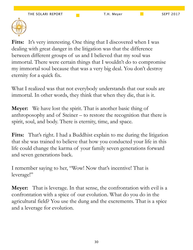

Fitts: It's very interesting. One thing that I discovered when I was dealing with great danger in the litigation was that the difference between different groups of us and I believed that my soul was immortal. There were certain things that I wouldn't do to compromise my immortal soul because that was a very big deal. You don't destroy eternity for a quick fix.

What I realized was that not everybody understands that our souls are immortal. In other words, they think that when they die, that is it.

**Meyer:** We have lost the spirit. That is another basic thing of anthroposophy and of Steiner – to restore the recognition that there is spirit, soul, and body. There is eternity, time, and space.

**Fitts:** That's right. I had a Buddhist explain to me during the litigation that she was trained to believe that how you conducted your life in this life could change the karma of your family seven generations forward and seven generations back.

I remember saying to her, "Wow! Now that's incentive! That is leverage!"

**Meyer:** That is leverage. In that sense, the confrontation with evil is a confrontation with a spice of our evolution. What do you do in the agricultural field? You use the dung and the excrements. That is a spice and a leverage for evolution.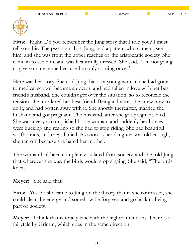

**Fitts:** Right. Do you remember the Jung story that I told you? I must tell you this. The psychoanalyst, Jung, had a patient who came to see him, and she was from the upper reaches of the aristocratic society. She came in to see him, and was beautifully dressed. She said, "I'm not going to give you my name because I'm only coming once."

Here was her story. She told Jung that as a young woman she had gone to medical school, became a doctor, and had fallen in love with her best friend's husband. She couldn't get over the situation, so to reconcile the tension, she murdered her best friend. Being a doctor, she knew how to do it, and had gotten away with it. She shortly thereafter, married the husband and got pregnant. The husband, after she got pregnant, died. She was a very accomplished horse woman, and suddenly her horses were bucking and rearing so she had to stop riding. She had beautiful wolfhounds, and they all died. As soon as her daughter was old enough, she ran off because she hated her mother.

The woman had been completely isolated from society, and she told Jung that wherever she was. the birds would stop singing. She said, "The birds knew."

#### **Meyer:** She said that?

**Fitts:** Yes. So she came to Jung on the theory that if she confessed, she could clear the energy and somehow be forgiven and go back to being part of society.

**Meyer:** I think that is totally true with the higher intentions. There is a fairytale by Grimm, which goes in the same direction.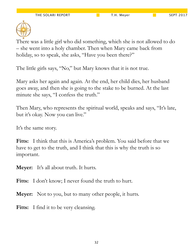

There was a little girl who did something, which she is not allowed to do – she went into a holy chamber. Then when Mary came back from holiday, so to speak, she asks, "Have you been there?"

The little girls says, "No," but Mary knows that it is not true.

Mary asks her again and again. At the end, her child dies, her husband goes away, and then she is going to the stake to be burned. At the last minute she says, "I confess the truth."

Then Mary, who represents the spiritual world, speaks and says, "It's late, but it's okay. Now you can live."

It's the same story.

**Fitts:** I think that this is America's problem. You said before that we have to get to the truth, and I think that this is why the truth is so important.

**Meyer:** It's all about truth. It hurts.

Fitts: I don't know; I never found the truth to hurt.

**Meyer:** Not to you, but to many other people, it hurts.

Fitts: I find it to be very cleansing.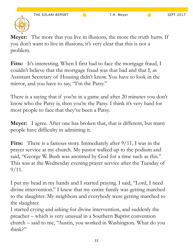

**Meyer:** The more that you live in illusions, the more the truth hurts. If you don't want to live in illusions, it's very clear that this is not a problem.

Fitts: It's interesting. When I first had to face the mortgage fraud, I couldn't believe that the mortgage fraud was that bad and that I, as Assistant Secretary of Housing didn't know. You have to look in the mirror, and you have to say, "I'm the Patsy."

There is a saying that if you're in a game and after 20 minutes you don't know who the Patsy is, then you're the Patsy. I think it's very hard for most people to face that they've been a Patsy.

**Meyer:** I agree. After one has broken that, that is different, but many people have difficulty in admitting it.

**Fitts:** There is a famous story. Immediately after  $9/11$ , I was in the prayer service at my church. My pastor walked up to the podium and said, "George W. Bush was anointed by God for a time such as this." This was at the Wednesday evening prayer service after the Tuesday of  $9/11$ .

I put my head in my hands and I started praying. I said, "Lord, I need divine intervention." I knew that my entire family was getting marched to the slaughter. My neighbors and everybody were getting marched to the slaughter.

I started crying and asking for divine intervention, and suddenly the preacher – which is very unusual in a Southern Baptist convention church – said to me, "Austin, you worked in Washington. What do you think?"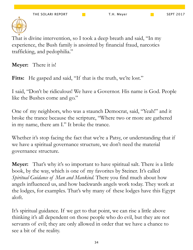

That is divine intervention, so I took a deep breath and said, "In my experience, the Bush family is anointed by financial fraud, narcotics trafficking, and pedophilia."

**Meyer:** There it is!

Fitts: He gasped and said, "If that is the truth, we're lost."

I said, "Don't be ridiculous! We have a Governor. His name is God. People like the Bushes come and go."

One of my neighbors, who was a staunch Democrat, said, "Yeah!" and it broke the trance because the scripture, "Where two or more are gathered in my name, there am I." It broke the trance.

Whether it's stop facing the fact that we're a Patsy, or understanding that if we have a spiritual governance structure, we don't need the material governance structure.

**Meyer:** That's why it's so important to have spiritual salt. There is a little book, by the way, which is one of my favorites by Steiner. It's called *Spiritual Guidance of Man and Mankind*. There you find much about how angels influenced us, and how backwards angels work today. They work at the lodges, for examples. That's why many of these lodges have this Egypt aloft.

It's spiritual guidance. If we get to that point, we can rise a little above thinking it's all dependent on those people who do evil, but they are not servants of evil; they are only allowed in order that we have a chance to see a bit of the reality.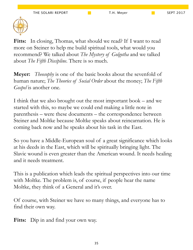

Fitts: In closing, Thomas, what should we read? If I want to read more on Steiner to help me build spiritual tools, what would you recommend? We talked about *The Mystery of Golgotha* and we talked about *The Fifth Discipline*. There is so much.

**Meyer:** *Theosophy* is one of the basic books about the sevenfold of human nature; *The Theories of Social Order* about the money; *The Fifth Gospel* is another one.

I think that we also brought out the most important book – and we started with this, so maybe we could end making a little note in parenthesis – were these documents – the correspondence between Steiner and Moltke because Moltke speaks about reincarnation. He is coming back now and he speaks about his task in the East.

So you have a Middle-European soul of a great significance which looks at his deeds in the East, which will be spiritually bringing light. The Slavic wound is even greater than the American wound. It needs healing and it needs treatment.

This is a publication which leads the spiritual perspectives into our time with Moltke. The problem is, of course, if people hear the name Moltke, they think of a General and it's over.

Of course, with Steiner we have so many things, and everyone has to find their own way.

Fitts: Dip in and find your own way.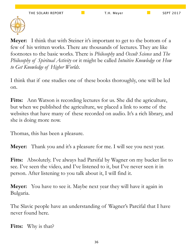

**Meyer:** I think that with Steiner it's important to get to the bottom of a few of his written works. There are thousands of lectures. They are like footnotes to the basic works. There is *Philosophy* and *Occult Science* and *The Philosophy of Spiritual Activity* or it might be called *Intuitive Knowledge* or *How to Get Knowledge of Higher Worlds*.

I think that if one studies one of these books thoroughly, one will be led on.

Fitts: Ann Watson is recording lectures for us. She did the agriculture, but when we published the agriculture, we placed a link to some of the websites that have many of these recorded on audio. It's a rich library, and she is doing more now.

Thomas, this has been a pleasure.

**Meyer:** Thank you and it's a pleasure for me. I will see you next year.

**Fitts:** Absolutely. I've always had Parsifal by Wagner on my bucket list to see. I've seen the video, and I've listened to it, but I've never seen it in person. After listening to you talk about it, I will find it.

**Meyer:** You have to see it. Maybe next year they will have it again in Bulgaria.

The Slavic people have an understanding of Wagner's Parcifal that I have never found here.

**Fitts:** Why is that?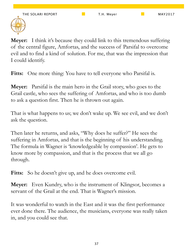

**Meyer:** I think it's because they could link to this tremendous suffering of the central figure, Amfortas, and the success of Parsifal to overcome evil and to find a kind of solution. For me, that was the impression that I could identify.

Fitts: One more thing: You have to tell everyone who Parsifal is.

**Meyer:** Parsifal is the main hero in the Grail story, who goes to the Grail castle, who sees the suffering of Amfortas, and who is too dumb to ask a question first. Then he is thrown out again.

That is what happens to us; we don't wake up. We see evil, and we don't ask the question.

Then later he returns, and asks, "Why does he suffer?" He sees the suffering in Amfortas, and that is the beginning of his understanding. The formula in Wagner is 'knowledgeable by compassion'. He gets to know more by compassion, and that is the process that we all go through.

**Fitts:** So he doesn't give up, and he does overcome evil.

**Meyer:** Even Kundry, who is the instrument of Klingsor, becomes a servant of the Grail at the end. That is Wagner's mission.

It was wonderful to watch in the East and it was the first performance ever done there. The audience, the musicians, everyone was really taken in, and you could see that.